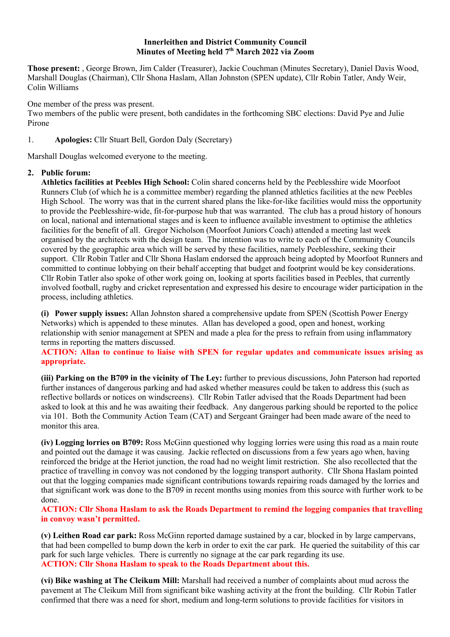#### **Innerleithen and District Community Council Minutes of Meeting held 7th March 2022 via Zoom**

**Those present:** , George Brown, Jim Calder (Treasurer), Jackie Couchman (Minutes Secretary), Daniel Davis Wood, Marshall Douglas (Chairman), Cllr Shona Haslam, Allan Johnston (SPEN update), Cllr Robin Tatler, Andy Weir, Colin Williams

One member of the press was present.

Two members of the public were present, both candidates in the forthcoming SBC elections: David Pye and Julie Pirone

1. **Apologies:** Cllr Stuart Bell, Gordon Daly (Secretary)

Marshall Douglas welcomed everyone to the meeting.

# **2. Public forum:**

**Athletics facilities at Peebles High School:** Colin shared concerns held by the Peeblesshire wide Moorfoot Runners Club (of which he is a committee member) regarding the planned athletics facilities at the new Peebles High School. The worry was that in the current shared plans the like-for-like facilities would miss the opportunity to provide the Peeblesshire-wide, fit-for-purpose hub that was warranted. The club has a proud history of honours on local, national and international stages and is keen to influence available investment to optimise the athletics facilities for the benefit of all. Gregor Nicholson (Moorfoot Juniors Coach) attended a meeting last week organised by the architects with the design team. The intention was to write to each of the Community Councils covered by the geographic area which will be served by these facilities, namely Peeblesshire, seeking their support. Cllr Robin Tatler and Cllr Shona Haslam endorsed the approach being adopted by Moorfoot Runners and committed to continue lobbying on their behalf accepting that budget and footprint would be key considerations. Cllr Robin Tatler also spoke of other work going on, looking at sports facilities based in Peebles, that currently involved football, rugby and cricket representation and expressed his desire to encourage wider participation in the process, including athletics.

**(i) Power supply issues:** Allan Johnston shared a comprehensive update from SPEN (Scottish Power Energy Networks) which is appended to these minutes. Allan has developed a good, open and honest, working relationship with senior management at SPEN and made a plea for the press to refrain from using inflammatory terms in reporting the matters discussed.

**ACTION: Allan to continue to liaise with SPEN for regular updates and communicate issues arising as appropriate.**

**(iii) Parking on the B709 in the vicinity of The Ley:** further to previous discussions, John Paterson had reported further instances of dangerous parking and had asked whether measures could be taken to address this (such as reflective bollards or notices on windscreens). Cllr Robin Tatler advised that the Roads Department had been asked to look at this and he was awaiting their feedback. Any dangerous parking should be reported to the police via 101. Both the Community Action Team (CAT) and Sergeant Grainger had been made aware of the need to monitor this area.

**(iv) Logging lorries on B709:** Ross McGinn questioned why logging lorries were using this road as a main route and pointed out the damage it was causing. Jackie reflected on discussions from a few years ago when, having reinforced the bridge at the Heriot junction, the road had no weight limit restriction. She also recollected that the practice of travelling in convoy was not condoned by the logging transport authority. Cllr Shona Haslam pointed out that the logging companies made significant contributions towards repairing roads damaged by the lorries and that significant work was done to the B709 in recent months using monies from this source with further work to be done.

**ACTION: Cllr Shona Haslam to ask the Roads Department to remind the logging companies that travelling in convoy wasn't permitted.**

**(v) Leithen Road car park:** Ross McGinn reported damage sustained by a car, blocked in by large campervans, that had been compelled to bump down the kerb in order to exit the car park. He queried the suitability of this car park for such large vehicles. There is currently no signage at the car park regarding its use. **ACTION: Cllr Shona Haslam to speak to the Roads Department about this.**

**(vi) Bike washing at The Cleikum Mill:** Marshall had received a number of complaints about mud across the pavement at The Cleikum Mill from significant bike washing activity at the front the building. Cllr Robin Tatler confirmed that there was a need for short, medium and long-term solutions to provide facilities for visitors in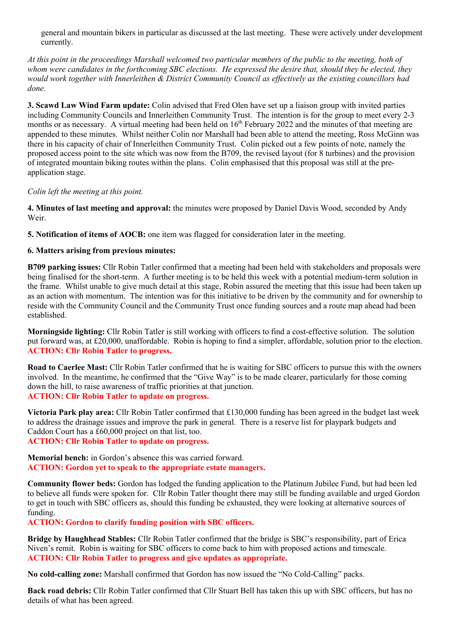general and mountain bikers in particular as discussed at the last meeting. These were actively under development currently.

*At this point in the proceedings Marshall welcomed two particular members of the public to the meeting, both of whom were candidates in the forthcoming SBC elections. He expressed the desire that, should they be elected, they would work together with Innerleithen & District Community Council as effectively as the existing councillors had done.* 

**3. Scawd Law Wind Farm update:** Colin advised that Fred Olen have set up a liaison group with invited parties including Community Councils and Innerleithen Community Trust. The intention is for the group to meet every 2-3 months or as necessary. A virtual meeting had been held on  $16<sup>th</sup>$  February 2022 and the minutes of that meeting are appended to these minutes. Whilst neither Colin nor Marshall had been able to attend the meeting, Ross McGinn was there in his capacity of chair of Innerleithen Community Trust. Colin picked out a few points of note, namely the proposed access point to the site which was now from the B709, the revised layout (for 8 turbines) and the provision of integrated mountain biking routes within the plans. Colin emphasised that this proposal was still at the preapplication stage.

#### *Colin left the meeting at this point.*

**4. Minutes of last meeting and approval:** the minutes were proposed by Daniel Davis Wood, seconded by Andy Weir.

**5. Notification of items of AOCB:** one item was flagged for consideration later in the meeting.

## **6. Matters arising from previous minutes:**

**B709 parking issues:** Cllr Robin Tatler confirmed that a meeting had been held with stakeholders and proposals were being finalised for the short-term. A further meeting is to be held this week with a potential medium-term solution in the frame. Whilst unable to give much detail at this stage, Robin assured the meeting that this issue had been taken up as an action with momentum. The intention was for this initiative to be driven by the community and for ownership to reside with the Community Council and the Community Trust once funding sources and a route map ahead had been established.

**Morningside lighting:** Cllr Robin Tatler is still working with officers to find a cost-effective solution. The solution put forward was, at £20,000, unaffordable. Robin is hoping to find a simpler, affordable, solution prior to the election. **ACTION: Cllr Robin Tatler to progress.**

**Road to Caerlee Mast:** Cllr Robin Tatler confirmed that he is waiting for SBC officers to pursue this with the owners involved. In the meantime, he confirmed that the "Give Way" is to be made clearer, particularly for those coming down the hill, to raise awareness of traffic priorities at that junction. **ACTION: Cllr Robin Tatler to update on progress.**

**Victoria Park play area:** Cllr Robin Tatler confirmed that £130,000 funding has been agreed in the budget last week to address the drainage issues and improve the park in general. There is a reserve list for playpark budgets and Caddon Court has a £60,000 project on that list, too. **ACTION: Cllr Robin Tatler to update on progress.**

**Memorial bench:** in Gordon's absence this was carried forward. **ACTION: Gordon yet to speak to the appropriate estate managers.** 

**Community flower beds:** Gordon has lodged the funding application to the Platinum Jubilee Fund, but had been led to believe all funds were spoken for. Cllr Robin Tatler thought there may still be funding available and urged Gordon to get in touch with SBC officers as, should this funding be exhausted, they were looking at alternative sources of funding.

**ACTION: Gordon to clarify funding position with SBC officers.**

**Bridge by Haughhead Stables:** Cllr Robin Tatler confirmed that the bridge is SBC's responsibility, part of Erica Niven's remit. Robin is waiting for SBC officers to come back to him with proposed actions and timescale. **ACTION: Cllr Robin Tatler to progress and give updates as appropriate.**

**No cold-calling zone:** Marshall confirmed that Gordon has now issued the "No Cold-Calling" packs.

**Back road debris:** Cllr Robin Tatler confirmed that Cllr Stuart Bell has taken this up with SBC officers, but has no details of what has been agreed.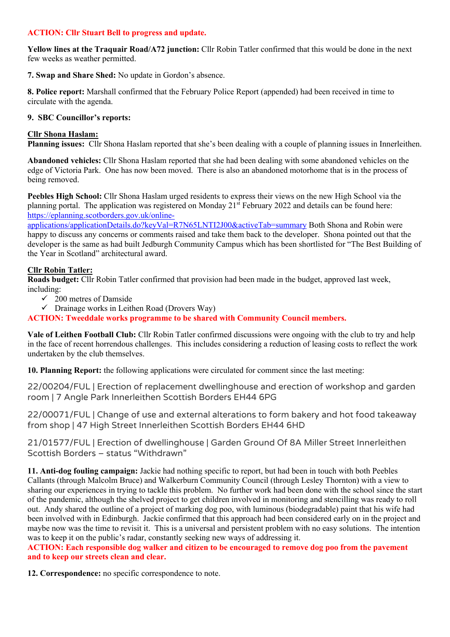## **ACTION: Cllr Stuart Bell to progress and update.**

**Yellow lines at the Traquair Road/A72 junction:** Cllr Robin Tatler confirmed that this would be done in the next few weeks as weather permitted.

**7. Swap and Share Shed:** No update in Gordon's absence.

**8. Police report:** Marshall confirmed that the February Police Report (appended) had been received in time to circulate with the agenda.

#### **9. SBC Councillor's reports:**

#### **Cllr Shona Haslam:**

**Planning issues:** Cllr Shona Haslam reported that she's been dealing with a couple of planning issues in Innerleithen.

**Abandoned vehicles:** Cllr Shona Haslam reported that she had been dealing with some abandoned vehicles on the edge of Victoria Park. One has now been moved. There is also an abandoned motorhome that is in the process of being removed.

**Peebles High School:** Cllr Shona Haslam urged residents to express their views on the new High School via the planning portal. The application was registered on Monday 21<sup>st</sup> February 2022 and details can be found here: https://eplanning.scotborders.gov.uk/online-

applications/applicationDetails.do?keyVal=R7N65LNTI2J00&activeTab=summary Both Shona and Robin were happy to discuss any concerns or comments raised and take them back to the developer. Shona pointed out that the developer is the same as had built Jedburgh Community Campus which has been shortlisted for "The Best Building of the Year in Scotland" architectural award.

## **Cllr Robin Tatler:**

**Roads budget:** Cllr Robin Tatler confirmed that provision had been made in the budget, approved last week, including:

- $\checkmark$  200 metres of Damside
- $\checkmark$  Drainage works in Leithen Road (Drovers Way)

**ACTION: Tweeddale works programme to be shared with Community Council members.**

**Vale of Leithen Football Club:** Cllr Robin Tatler confirmed discussions were ongoing with the club to try and help in the face of recent horrendous challenges. This includes considering a reduction of leasing costs to reflect the work undertaken by the club themselves.

**10. Planning Report:** the following applications were circulated for comment since the last meeting:

22/00204/FUL | Erection of replacement dwellinghouse and erection of workshop and garden room | 7 Angle Park Innerleithen Scottish Borders EH44 6PG

22/00071/FUL | Change of use and external alterations to form bakery and hot food takeaway from shop | 47 High Street Innerleithen Scottish Borders EH44 6HD

21/01577/FUL | Erection of dwellinghouse | Garden Ground Of 8A Miller Street Innerleithen Scottish Borders – status "Withdrawn"

**11. Anti-dog fouling campaign:** Jackie had nothing specific to report, but had been in touch with both Peebles Callants (through Malcolm Bruce) and Walkerburn Community Council (through Lesley Thornton) with a view to sharing our experiences in trying to tackle this problem. No further work had been done with the school since the start of the pandemic, although the shelved project to get children involved in monitoring and stencilling was ready to roll out. Andy shared the outline of a project of marking dog poo, with luminous (biodegradable) paint that his wife had been involved with in Edinburgh. Jackie confirmed that this approach had been considered early on in the project and maybe now was the time to revisit it. This is a universal and persistent problem with no easy solutions. The intention was to keep it on the public's radar, constantly seeking new ways of addressing it.

**ACTION: Each responsible dog walker and citizen to be encouraged to remove dog poo from the pavement and to keep our streets clean and clear.**

**12. Correspondence:** no specific correspondence to note.